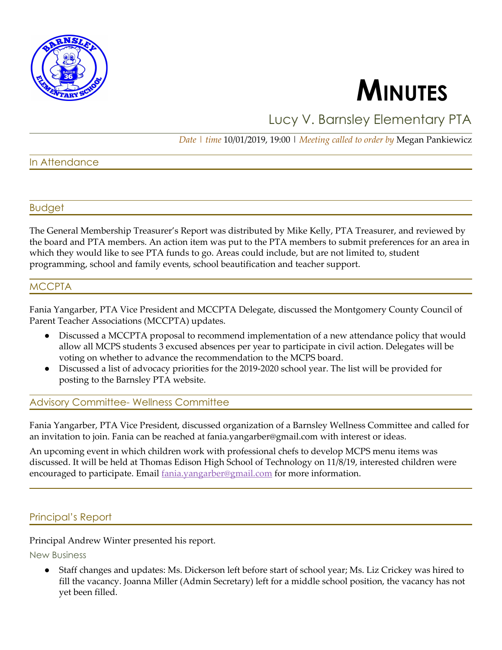

# **MINUTES**

# Lucy V. Barnsley Elementary PTA

*Date | time* 10/01/2019, 19:00 | *Meeting called to order by* Megan Pankiewicz

# In Attendance

#### Budget

The General Membership Treasurer's Report was distributed by Mike Kelly, PTA Treasurer, and reviewed by the board and PTA members. An action item was put to the PTA members to submit preferences for an area in which they would like to see PTA funds to go. Areas could include, but are not limited to, student programming, school and family events, school beautification and teacher support.

#### MCCPTA

Fania Yangarber, PTA Vice President and MCCPTA Delegate, discussed the Montgomery County Council of Parent Teacher Associations (MCCPTA) updates.

- Discussed a MCCPTA proposal to recommend implementation of a new attendance policy that would allow all MCPS students 3 excused absences per year to participate in civil action. Delegates will be voting on whether to advance the recommendation to the MCPS board.
- Discussed a list of advocacy priorities for the 2019-2020 school year. The list will be provided for posting to the Barnsley PTA website.

#### Advisory Committee- Wellness Committee

Fania Yangarber, PTA Vice President, discussed organization of a Barnsley Wellness Committee and called for an invitation to join. Fania can be reached at fania.yangarber@gmail.com with interest or ideas.

An upcoming event in which children work with professional chefs to develop MCPS menu items was discussed. It will be held at Thomas Edison High School of Technology on 11/8/19, interested children were encouraged to participate. Email fania.vangarber@gmail.com for more information.

# Principal's Report

Principal Andrew Winter presented his report.

New Business

● Staff changes and updates: Ms. Dickerson left before start of school year; Ms. Liz Crickey was hired to fill the vacancy. Joanna Miller (Admin Secretary) left for a middle school position, the vacancy has not yet been filled.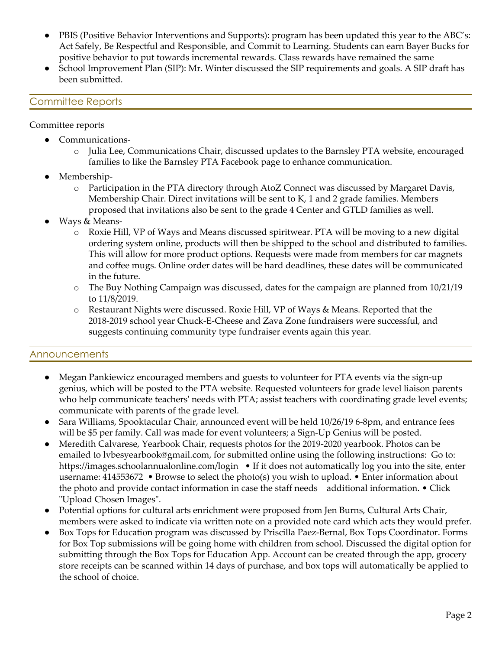- PBIS (Positive Behavior Interventions and Supports): program has been updated this year to the ABC's: Act Safely, Be Respectful and Responsible, and Commit to Learning. Students can earn Bayer Bucks for positive behavior to put towards incremental rewards. Class rewards have remained the same
- School Improvement Plan (SIP): Mr. Winter discussed the SIP requirements and goals. A SIP draft has been submitted.

# Committee Reports

Committee reports

- Communications
	- o Julia Lee, Communications Chair, discussed updates to the Barnsley PTA website, encouraged families to like the Barnsley PTA Facebook page to enhance communication.
- Membership
	- o Participation in the PTA directory through AtoZ Connect was discussed by Margaret Davis, Membership Chair. Direct invitations will be sent to K, 1 and 2 grade families. Members proposed that invitations also be sent to the grade 4 Center and GTLD families as well.
- Ways & Means
	- o Roxie Hill, VP of Ways and Means discussed spiritwear. PTA will be moving to a new digital ordering system online, products will then be shipped to the school and distributed to families. This will allow for more product options. Requests were made from members for car magnets and coffee mugs. Online order dates will be hard deadlines, these dates will be communicated in the future.
	- o The Buy Nothing Campaign was discussed, dates for the campaign are planned from 10/21/19 to 11/8/2019.
	- o Restaurant Nights were discussed. Roxie Hill, VP of Ways & Means. Reported that the 2018-2019 school year Chuck-E-Cheese and Zava Zone fundraisers were successful, and suggests continuing community type fundraiser events again this year.

#### Announcements

- Megan Pankiewicz encouraged members and guests to volunteer for PTA events via the sign-up genius, which will be posted to the PTA website. Requested volunteers for grade level liaison parents who help communicate teachers' needs with PTA; assist teachers with coordinating grade level events; communicate with parents of the grade level.
- Sara Williams, Spooktacular Chair, announced event will be held 10/26/19 6-8pm, and entrance fees will be \$5 per family. Call was made for event volunteers; a Sign-Up Genius will be posted.
- Meredith Calvarese, Yearbook Chair, requests photos for the 2019-2020 yearbook. Photos can be emailed to lvbesyearbook@gmail.com, for submitted online using the following instructions: Go to: https://images.schoolannualonline.com/login • If it does not automatically log you into the site, enter username: 414553672 • Browse to select the photo(s) you wish to upload. • Enter information about the photo and provide contact information in case the staff needs additional information. • Click "Upload Chosen Images".
- Potential options for cultural arts enrichment were proposed from Jen Burns, Cultural Arts Chair, members were asked to indicate via written note on a provided note card which acts they would prefer.
- Box Tops for Education program was discussed by Priscilla Paez-Bernal, Box Tops Coordinator. Forms for Box Top submissions will be going home with children from school. Discussed the digital option for submitting through the Box Tops for Education App. Account can be created through the app, grocery store receipts can be scanned within 14 days of purchase, and box tops will automatically be applied to the school of choice.